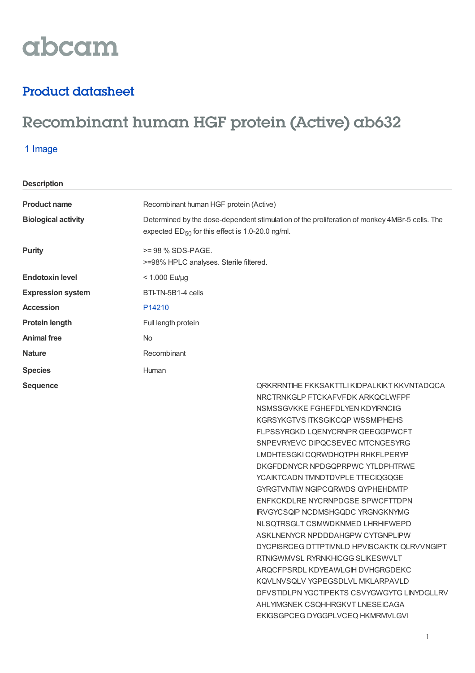# abcam

### Product datasheet

## Recombinant human HGF protein (Active) ab632

#### 1 Image

| <b>Product name</b>        | Recombinant human HGF protein (Active)                                                                                                                 |
|----------------------------|--------------------------------------------------------------------------------------------------------------------------------------------------------|
| <b>Biological activity</b> | Determined by the dose-dependent stimulation of the proliferation of monkey 4MBr-5 cells. The<br>expected $ED_{50}$ for this effect is 1.0-20.0 ng/ml. |
| <b>Purity</b>              | >= 98 % SDS-PAGE.<br>>=98% HPLC analyses. Sterile filtered.                                                                                            |
| <b>Endotoxin level</b>     | $< 1.000$ Eu/µg                                                                                                                                        |
| <b>Expression system</b>   | BTI-TN-5B1-4 cells                                                                                                                                     |
| <b>Accession</b>           | P <sub>14210</sub>                                                                                                                                     |
| <b>Protein length</b>      | Full length protein                                                                                                                                    |
| <b>Animal free</b>         | No.                                                                                                                                                    |
| <b>Nature</b>              | Recombinant                                                                                                                                            |
| <b>Species</b>             | Human                                                                                                                                                  |
| <b>Sequence</b>            | ORKRRNTIHE FKKSAKTTLI KIDPALKIKT KKVNTADQCA<br>MOOTDMIZOLD FTOIZAFUEDIZ ADIZOOL WEDE                                                                   |

NRCTRNKGLP FTCKAFVFDK ARKQCLWFPF NSMSSGVKKE FGHEFDLYEN KDYIRNCIIG KGRSYKGTVS ITKSGIKCQP WSSMIPHEHS FLPSSYRGKD LQENYCRNPR GEEGGPWCFT SNPEVRYEVC DIPQCSEVEC MTCNGESYRG LMDHTESGKICQRWDHQTPH RHKFLPERYP DKGFDDNYCR NPDGQPRPWC YTLDPHTRWE YCAIKTCADN TMNDTDVPLE TTECIQGQGE GYRGTVNTIW NGIPCQRWDS QYPHEHDMTP ENFKCKDLRE NYCRNPDGSE SPWCFTTDPN IRVGYCSQIP NCDMSHGQDC YRGNGKNYMG NLSQTRSGLT CSMWDKNMED LHRHIFWEPD ASKLNENYCR NPDDDAHGPW CYTGNPLIPW DYCPISRCEG DTTPTIVNLD HPVISCAKTK QLRVVNGIPT RTNIGWMVSL RYRNKHICGG SLIKESWVLT ARQCFPSRDL KDYEAWLGIH DVHGRGDEKC KQVLNVSQLV YGPEGSDLVL MKLARPAVLD DFVSTIDLPN YGCTIPEKTS CSVYGWGYTG LINYDGLLRV AHLYIMGNEK CSQHHRGKVT LNESEICAGA EKIGSGPCEG DYGGPLVCEQ HKMRMVLGVI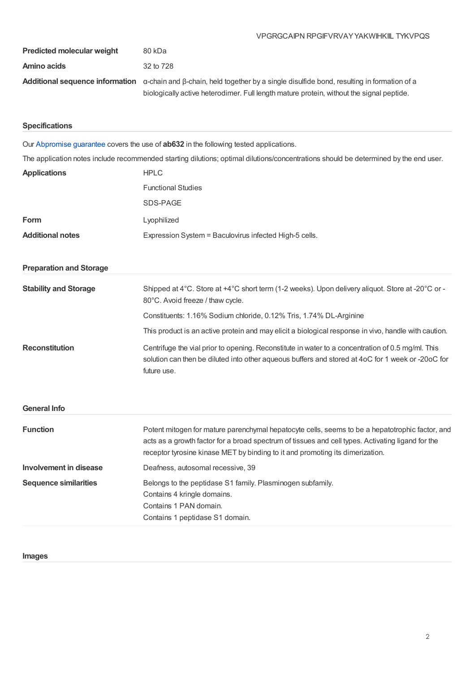#### VPGRGCAIPN RPGIFVRVAYYAKWIHKIIL TYKVPQS

| <b>Predicted molecular weight</b> | 80 kDa                                                                                                                                           |
|-----------------------------------|--------------------------------------------------------------------------------------------------------------------------------------------------|
| Amino acids                       | 32 to 728                                                                                                                                        |
|                                   | <b>Additional sequence information</b> $\alpha$ -chain and $\beta$ -chain, held together by a single disulfide bond, resulting in formation of a |
|                                   | biologically active heterodimer. Full length mature protein, without the signal peptide.                                                         |

#### **Specifications**

Our [Abpromise](https://www.abcam.com/abpromise) guarantee covers the use of **ab632** in the following tested applications.

The application notes include recommended starting dilutions; optimal dilutions/concentrations should be determined by the end user.

| <b>Applications</b>            | <b>HPLC</b>                                                                                                                                                                                                                                                                           |
|--------------------------------|---------------------------------------------------------------------------------------------------------------------------------------------------------------------------------------------------------------------------------------------------------------------------------------|
|                                | <b>Functional Studies</b>                                                                                                                                                                                                                                                             |
|                                | SDS-PAGE                                                                                                                                                                                                                                                                              |
| Form                           | Lyophilized                                                                                                                                                                                                                                                                           |
| <b>Additional notes</b>        | Expression System = Baculovirus infected High-5 cells.                                                                                                                                                                                                                                |
| <b>Preparation and Storage</b> |                                                                                                                                                                                                                                                                                       |
| <b>Stability and Storage</b>   | Shipped at 4°C. Store at +4°C short term (1-2 weeks). Upon delivery aliquot. Store at -20°C or -<br>80°C. Avoid freeze / thaw cycle.                                                                                                                                                  |
|                                | Constituents: 1.16% Sodium chloride, 0.12% Tris, 1.74% DL-Arginine                                                                                                                                                                                                                    |
|                                | This product is an active protein and may elicit a biological response in vivo, handle with caution.                                                                                                                                                                                  |
| <b>Reconstitution</b>          | Centrifuge the vial prior to opening. Reconstitute in water to a concentration of 0.5 mg/ml. This<br>solution can then be diluted into other aqueous buffers and stored at 4oC for 1 week or -20oC for<br>future use.                                                                 |
| <b>General Info</b>            |                                                                                                                                                                                                                                                                                       |
| <b>Function</b>                | Potent mitogen for mature parenchymal hepatocyte cells, seems to be a hepatotrophic factor, and<br>acts as a growth factor for a broad spectrum of tissues and cell types. Activating ligand for the<br>receptor tyrosine kinase MET by binding to it and promoting its dimerization. |
| <b>Involvement in disease</b>  | Deafness, autosomal recessive, 39                                                                                                                                                                                                                                                     |
| <b>Sequence similarities</b>   | Belongs to the peptidase S1 family. Plasminogen subfamily.<br>Contains 4 kringle domains.<br>Contains 1 PAN domain.<br>Contains 1 peptidase S1 domain.                                                                                                                                |

#### **Images**